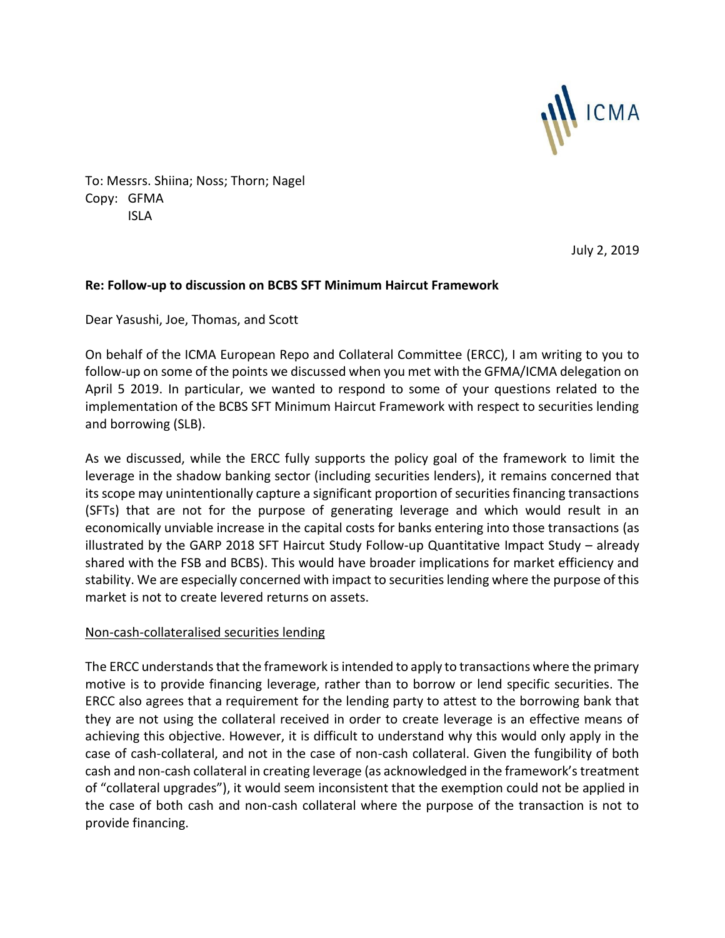

To: Messrs. Shiina; Noss; Thorn; Nagel Copy: GFMA ISLA

July 2, 2019

## **Re: Follow-up to discussion on BCBS SFT Minimum Haircut Framework**

Dear Yasushi, Joe, Thomas, and Scott

On behalf of the ICMA European Repo and Collateral Committee (ERCC), I am writing to you to follow-up on some of the points we discussed when you met with the GFMA/ICMA delegation on April 5 2019. In particular, we wanted to respond to some of your questions related to the implementation of the BCBS SFT Minimum Haircut Framework with respect to securities lending and borrowing (SLB).

As we discussed, while the ERCC fully supports the policy goal of the framework to limit the leverage in the shadow banking sector (including securities lenders), it remains concerned that its scope may unintentionally capture a significant proportion of securities financing transactions (SFTs) that are not for the purpose of generating leverage and which would result in an economically unviable increase in the capital costs for banks entering into those transactions (as illustrated by the GARP 2018 SFT Haircut Study Follow-up Quantitative Impact Study – already shared with the FSB and BCBS). This would have broader implications for market efficiency and stability. We are especially concerned with impact to securities lending where the purpose of this market is not to create levered returns on assets.

## Non-cash-collateralised securities lending

The ERCC understands that the framework is intended to apply to transactions where the primary motive is to provide financing leverage, rather than to borrow or lend specific securities. The ERCC also agrees that a requirement for the lending party to attest to the borrowing bank that they are not using the collateral received in order to create leverage is an effective means of achieving this objective. However, it is difficult to understand why this would only apply in the case of cash-collateral, and not in the case of non-cash collateral. Given the fungibility of both cash and non-cash collateral in creating leverage (as acknowledged in the framework's treatment of "collateral upgrades"), it would seem inconsistent that the exemption could not be applied in the case of both cash and non-cash collateral where the purpose of the transaction is not to provide financing.